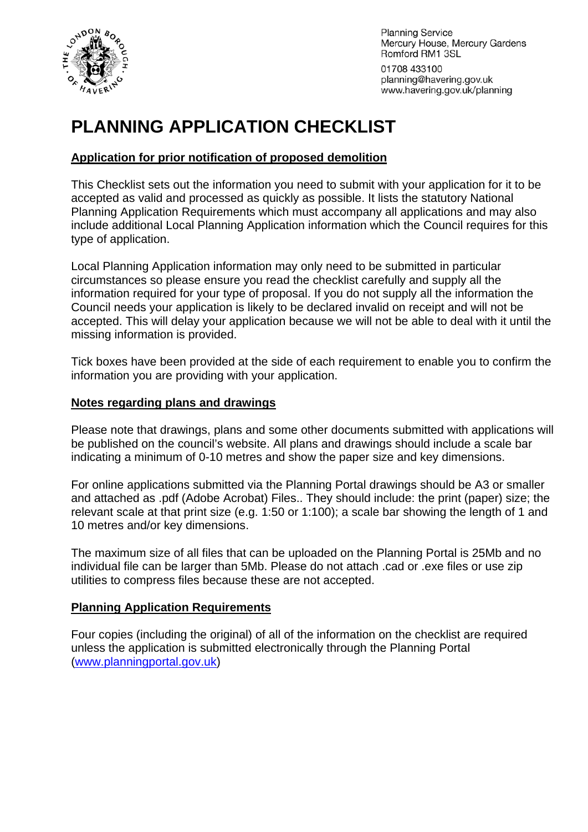

**Planning Service** Mercury House, Mercury Gardens Romford RM1 3SL

01708 433100 planning@havering.gov.uk www.havering.gov.uk/planning

# **PLANNING APPLICATION CHECKLIST**

#### **Application for prior notification of proposed demolition**

This Checklist sets out the information you need to submit with your application for it to be accepted as valid and processed as quickly as possible. It lists the statutory National Planning Application Requirements which must accompany all applications and may also include additional Local Planning Application information which the Council requires for this type of application.

Local Planning Application information may only need to be submitted in particular circumstances so please ensure you read the checklist carefully and supply all the information required for your type of proposal. If you do not supply all the information the Council needs your application is likely to be declared invalid on receipt and will not be accepted. This will delay your application because we will not be able to deal with it until the missing information is provided.

Tick boxes have been provided at the side of each requirement to enable you to confirm the information you are providing with your application.

#### **Notes regarding plans and drawings**

Please note that drawings, plans and some other documents submitted with applications will be published on the council's website. All plans and drawings should include a scale bar indicating a minimum of 0-10 metres and show the paper size and key dimensions.

For online applications submitted via the Planning Portal drawings should be A3 or smaller and attached as .pdf (Adobe Acrobat) Files.. They should include: the print (paper) size; the relevant scale at that print size (e.g. 1:50 or 1:100); a scale bar showing the length of 1 and 10 metres and/or key dimensions.

The maximum size of all files that can be uploaded on the Planning Portal is 25Mb and no individual file can be larger than 5Mb. Please do not attach .cad or .exe files or use zip utilities to compress files because these are not accepted.

#### **Planning Application Requirements**

Four copies (including the original) of all of the information on the checklist are required unless the application is submitted electronically through the Planning Portal ([www.planningportal.gov.uk](http://www.planningportal.gov.uk/))